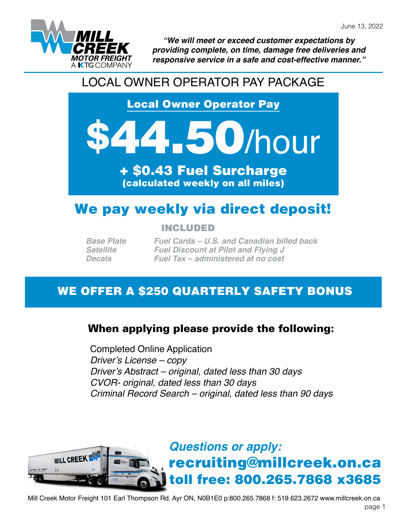

*"We will meet or exceed customer expectations by providing complete, on time, damage free deliveries and responsive service in a safe and cost-effective manner."*

## LOCAL OWNER OPERATOR PAY PACKAGE

Local Owner Operator Pay

# **150/hour**

+ \$0.43 Fuel Surcharge (calculated weekly on all miles)

# We pay weekly via direct deposit!

#### INCLUDED

*Base Plate Satellite Decals*

*Fuel Cards – U.S. and Canadian billed back Fuel Discount at Pilot and Flying J Fuel Tax – administered at no cost*

## WE OFFER A \$250 QUARTERLY SAFETY BONUS

## When applying please provide the following:

Completed Online Application *Driver's License – copy Driver's Abstract – original, dated less than 30 days CVOR- original, dated less than 30 days Criminal Record Search – original, dated less than 90 days*



Mill Creek Motor Freight 101 Earl Thompson Rd. Ayr ON, N0B1E0 p:800.265.7868 f: 519.623.2672 www.millcreek.on.ca page 1